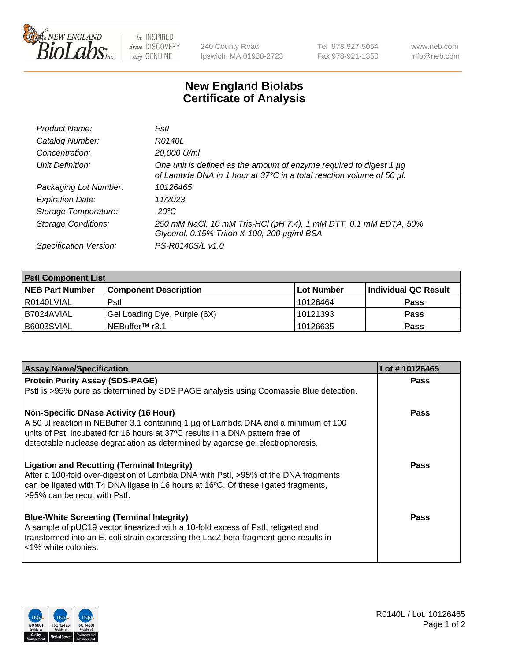

 $be$  INSPIRED drive DISCOVERY stay GENUINE

240 County Road Ipswich, MA 01938-2723 Tel 978-927-5054 Fax 978-921-1350 www.neb.com info@neb.com

## **New England Biolabs Certificate of Analysis**

| Product Name:              | Pstl                                                                                                                                        |
|----------------------------|---------------------------------------------------------------------------------------------------------------------------------------------|
| Catalog Number:            | R0140L                                                                                                                                      |
| Concentration:             | 20,000 U/ml                                                                                                                                 |
| Unit Definition:           | One unit is defined as the amount of enzyme required to digest 1 µg<br>of Lambda DNA in 1 hour at 37°C in a total reaction volume of 50 µl. |
| Packaging Lot Number:      | 10126465                                                                                                                                    |
| <b>Expiration Date:</b>    | 11/2023                                                                                                                                     |
| Storage Temperature:       | -20°C                                                                                                                                       |
| <b>Storage Conditions:</b> | 250 mM NaCl, 10 mM Tris-HCl (pH 7.4), 1 mM DTT, 0.1 mM EDTA, 50%<br>Glycerol, 0.15% Triton X-100, 200 µg/ml BSA                             |
| Specification Version:     | PS-R0140S/L v1.0                                                                                                                            |

| <b>PstI Component List</b> |                              |             |                      |  |  |
|----------------------------|------------------------------|-------------|----------------------|--|--|
| <b>NEB Part Number</b>     | <b>Component Description</b> | ∣Lot Number | Individual QC Result |  |  |
| R0140LVIAL                 | Pstl                         | l 10126464  | <b>Pass</b>          |  |  |
| I B7024AVIAL               | Gel Loading Dye, Purple (6X) | 10121393    | <b>Pass</b>          |  |  |
| B6003SVIAL                 | NEBuffer <sup>™</sup> r3.1   | 10126635    | <b>Pass</b>          |  |  |

| <b>Assay Name/Specification</b>                                                                                    | Lot #10126465 |
|--------------------------------------------------------------------------------------------------------------------|---------------|
| <b>Protein Purity Assay (SDS-PAGE)</b>                                                                             | <b>Pass</b>   |
| PstI is >95% pure as determined by SDS PAGE analysis using Coomassie Blue detection.                               |               |
| <b>Non-Specific DNase Activity (16 Hour)</b>                                                                       | <b>Pass</b>   |
| A 50 µl reaction in NEBuffer 3.1 containing 1 µg of Lambda DNA and a minimum of 100                                |               |
| units of PstI incubated for 16 hours at 37°C results in a DNA pattern free of                                      |               |
| detectable nuclease degradation as determined by agarose gel electrophoresis.                                      |               |
| <b>Ligation and Recutting (Terminal Integrity)</b>                                                                 | Pass          |
| After a 100-fold over-digestion of Lambda DNA with Pstl, >95% of the DNA fragments                                 |               |
| can be ligated with T4 DNA ligase in 16 hours at 16°C. Of these ligated fragments,<br>>95% can be recut with Pstl. |               |
|                                                                                                                    |               |
| <b>Blue-White Screening (Terminal Integrity)</b>                                                                   | Pass          |
| A sample of pUC19 vector linearized with a 10-fold excess of PstI, religated and                                   |               |
| transformed into an E. coli strain expressing the LacZ beta fragment gene results in<br><1% white colonies.        |               |
|                                                                                                                    |               |